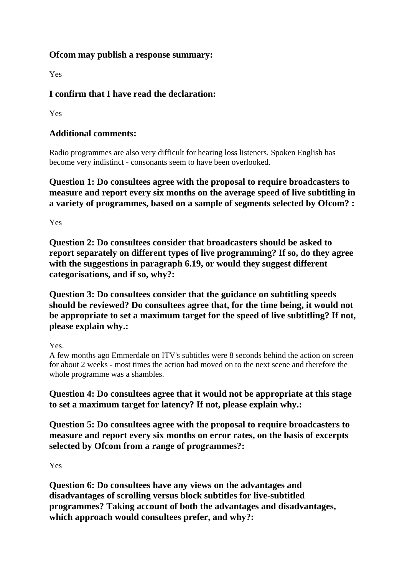## **Ofcom may publish a response summary:**

Yes

## **I confirm that I have read the declaration:**

Yes

## **Additional comments:**

Radio programmes are also very difficult for hearing loss listeners. Spoken English has become very indistinct - consonants seem to have been overlooked.

**Question 1: Do consultees agree with the proposal to require broadcasters to measure and report every six months on the average speed of live subtitling in a variety of programmes, based on a sample of segments selected by Ofcom? :**

Yes

**Question 2: Do consultees consider that broadcasters should be asked to report separately on different types of live programming? If so, do they agree with the suggestions in paragraph 6.19, or would they suggest different categorisations, and if so, why?:**

**Question 3: Do consultees consider that the guidance on subtitling speeds should be reviewed? Do consultees agree that, for the time being, it would not be appropriate to set a maximum target for the speed of live subtitling? If not, please explain why.:**

Yes.

A few months ago Emmerdale on ITV's subtitles were 8 seconds behind the action on screen for about 2 weeks - most times the action had moved on to the next scene and therefore the whole programme was a shambles.

**Question 4: Do consultees agree that it would not be appropriate at this stage to set a maximum target for latency? If not, please explain why.:**

**Question 5: Do consultees agree with the proposal to require broadcasters to measure and report every six months on error rates, on the basis of excerpts selected by Ofcom from a range of programmes?:**

Yes

**Question 6: Do consultees have any views on the advantages and disadvantages of scrolling versus block subtitles for live-subtitled programmes? Taking account of both the advantages and disadvantages, which approach would consultees prefer, and why?:**